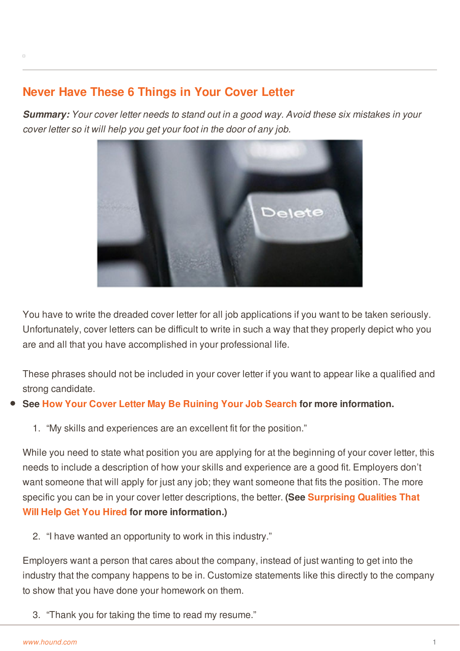## **Never Have These 6 Things in Your Cover Letter**

*Summary: Your cover letter needs to stand out in a good way. Avoid these six mistakes in your cover letter so it will help you get your foot in the door of any job.*



You have to write the dreaded cover letter for all job applications if you want to be taken seriously. Unfortunately, cover letters can be difficult to write in such a way that they properly depict who you are and all that you have accomplished in your professional life.

These phrases should not be included in your cover letter if you want to appear like a qualified and strong candidate.

## **See How Your Cover Letter May Be [Ruining](http://www.hound.com/article/900046458/How-Your-Cover-Letter-May-Be-Ruining-Your-Job-Search/) Your Job Search for more information.**

1. "My skills and experiences are an excellent fit for the position."

While you need to state what position you are applying for at the beginning of your cover letter, this needs to include a description of how your skills and experience are a good fit. Employers don't want someone that will apply for just any job; they want someone that fits the position. The more specific you can be in your cover letter descriptions, the better. **(See Surprising Qualities That Will Help Get You Hired for more [information.\)](http://www.hound.com/article/900046341/Surprising-Qualities-That-Will-Help-You-Get-Hired/)**

2. "I have wanted an opportunity to work in this industry."

[Employers](http://www.hound.com/) want a person that cares about the company, instead of just wanting to get into the industry that the company happens to be in. Customize statements like this directly to the company to show that you have done your homework on them.

3. "Thank you for taking the time to read my resume."

 $\Box$